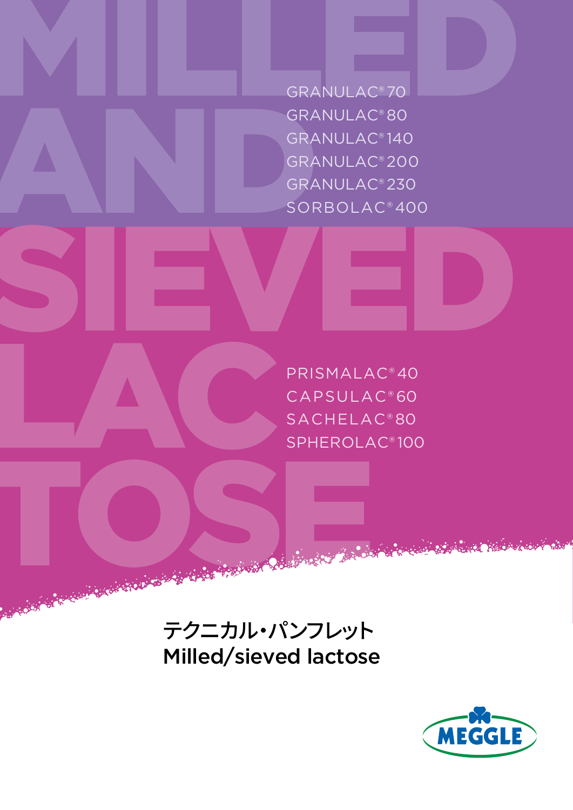GRANULAC<sup>®</sup>70 GRA<br>GRA<br>GRA<br>SOR<br>SOR GRANULAC® 70 GRANULAC® 80 GRANULAC® 140 GRANULAC® 200 GRANULAC® 230 SORBOLAC® 400

SIEVED TOSE NE PRISMALAC® 40 CAPSULAC® 60 SACHELAC® 80 SPHEROLAC® 100

> テクニカル・パンフレット Milled/sieved lactose

LAC

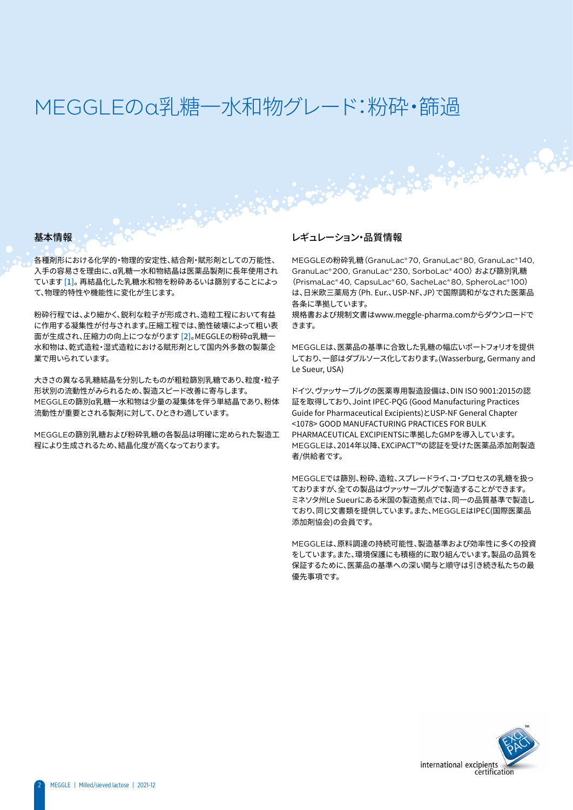## MEGGLEのα乳糖–水和物グレード:粉砕・篩過

#### 基本情報

各種剤形における化学的・物理的安定性、結合剤・賦形剤としての万能性、 入手の容易さを理由に、α乳糖一水和物結晶は医薬品製剤に長年使用され ています [1]。 再結晶化した乳糖水和物を粉砕あるいは篩別することによっ て、物理的特性や機能性に変化が生じます。

粉砕行程では、より細かく、鋭利な粒子が形成され、造粒工程において有益 に作用する凝集性が付与されます。圧縮工程では、脆性破壊によって粗い表 面が生成され、圧縮力の向上につながります [2]。MEGGLEの粉砕α乳糖一 水和物は、乾式造粒・湿式造粒における賦形剤として国内外多数の製薬企 業で用いられています。

大きさの異なる乳糖結晶を分別したものが粗粒篩別乳糖であり、粒度・粒子 形状別の流動性がみられるため、製造スピード改善に寄与します。 MEGGLEの篩別α乳糖一水和物は少量の凝集体を伴う単結晶であり、粉体 流動性が重要とされる製剤に対して、ひときわ適しています。

MEGGLEの篩別乳糖および粉砕乳糖の各製品は明確に定められた製造工 程により生成されるため、結晶化度が高くなっております。

# レギュレーション・品質情報

MEGGLEの粉砕乳糖(GranuLac® 70, GranuLac® 80, GranuLac® 140, GranuLac® 200, GranuLac® 230, SorboLac® 400) および篩別乳糖 (PrismaLac® 40, CapsuLac® 60, SacheLac® 80, SpheroLac® 100) は、日米欧三薬局方(Ph. Eur.、USP-NF、JP)で国際調和がなされた医薬品 各条に準拠しています。

規格書および規制文書はwww.meggle-pharma.comからダウンロードで きます。

MEGGLEは、医薬品の基準に合致した乳糖の幅広いポートフォリオを提供 しており、一部はダブルソース化しております。(Wasserburg, Germany and Le Sueur, USA)

ドイツ、ヴァッサーブルグの医薬専用製造設備は、DIN ISO 9001:2015の認 証を取得しており、Joint IPEC-PQG (Good Manufacturing Practices Guide for Pharmaceutical Excipients)とUSP-NF General Chapter <1078> GOOD MANUFACTURING PRACTICES FOR BULK PHARMACEUTICAL EXCIPIENTSに準拠したGMPを導入しています。 MEGGLEは、2014年以降、EXCiPACT™の認証を受けた医薬品添加剤製造 者/供給者です。

MEGGLEでは篩別、粉砕、造粒、スプレードライ、コ・プロセスの乳糖を扱っ ておりますが、全ての製品はヴァッサーブルグで製造することができます。 ミネソタ州Le Sueurにある米国の製造拠点では、同一の品質基準で製造し ており、同じ文書類を提供しています。また、MEGGLEはIPEC(国際医薬品 添加剤協会)の会員です。

MEGGLEは、原料調達の持続可能性、製造基準および効率性に多くの投資 をしています。また、環境保護にも積極的に取り組んでいます。製品の品質を 保証するために、医薬品の基準への深い関与と順守は引き続き私たちの最 優先事項です。

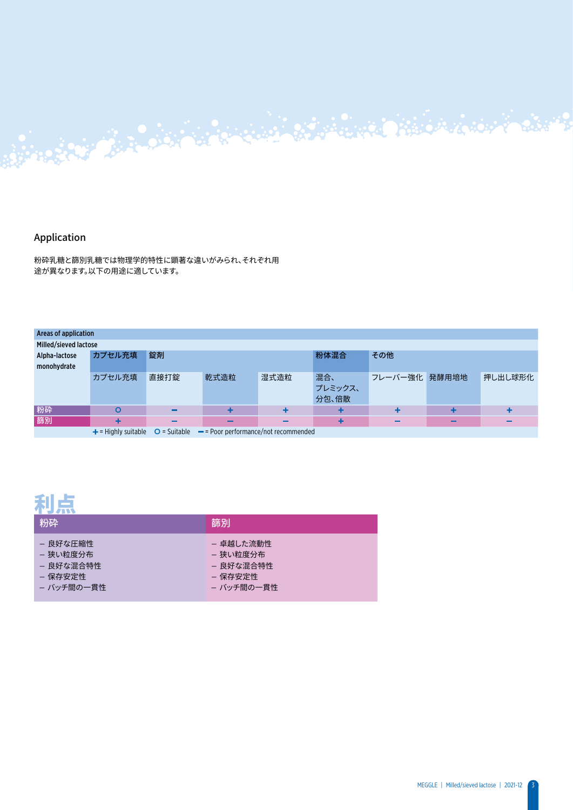#### Application

粉砕乳糖と篩別乳糖では物理学的特性に顕著な違いがみられ、それぞれ用 途が異なります。以下の用途に適しています。

| Areas of application  |        |      |                                                                                     |      |         |               |   |         |
|-----------------------|--------|------|-------------------------------------------------------------------------------------|------|---------|---------------|---|---------|
| Milled/sieved lactose |        |      |                                                                                     |      |         |               |   |         |
| Alpha-lactose         | カプセル充填 | 錠剤   |                                                                                     |      | 粉体混合    | その他           |   |         |
| monohydrate           |        |      |                                                                                     |      |         |               |   |         |
|                       | カプセル充填 | 直接打錠 | 乾式造粒                                                                                | 湿式造粒 | 混合、     | フレーバー強化 発酵用培地 |   | 押し出し球形化 |
|                       |        |      |                                                                                     |      | プレミックス、 |               |   |         |
|                       |        |      |                                                                                     |      | 分包、倍散   |               |   |         |
| 粉碎                    | O      | -    |                                                                                     |      |         |               |   | ٠       |
| 篩別                    | +      | -    |                                                                                     | -    |         |               | - | -       |
|                       |        |      | $+$ = Highly suitable $\circ$ = Suitable $\circ$ = Poor performance/not recommended |      |         |               |   |         |

Antonio de la Companya de la Companya de la Companya de la Companya de la Companya de la Companya de la Companya

### 利点

| 粉砕         | 篩別         |
|------------|------------|
| - 良好な圧縮性   | - 卓越した流動性  |
| – 狭い粒度分布   | – 狭い粒度分布   |
| - 良好な混合特性  | - 良好な混合特性  |
| – 保存安定性    | – 保存安定性    |
| - バッチ間の一貫性 | - バッチ間の一貫性 |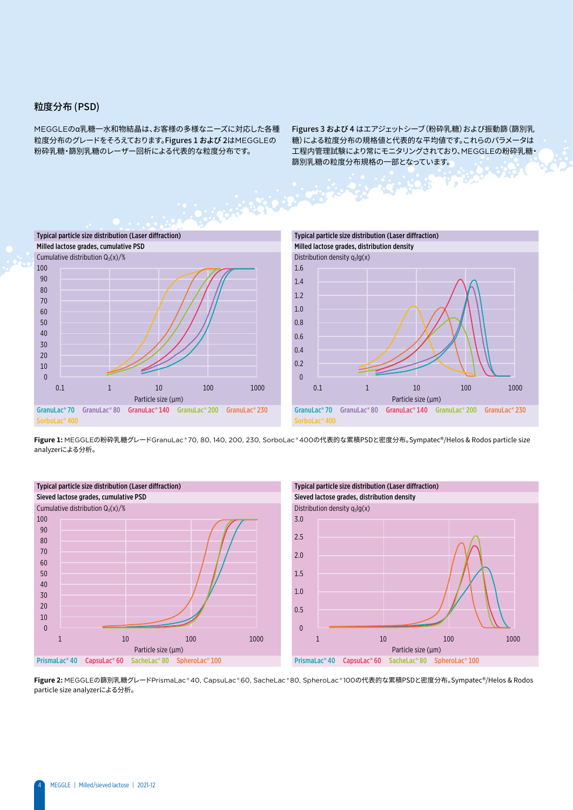#### 粒度分布 (PSD)

MEGGLEのα乳糖一水和物結晶は、お客様の多様なニーズに対応した各種 粒度分布のグレードをそろえております。Figures 1 および 2はMEGGLEの 粉砕乳糖・篩別乳糖のレーザー回析による代表的な粒度分布です。

Figures 3 および 4 はエアジェットシーブ(粉砕乳糖)および振動篩(篩別乳 糖)による粒度分布の規格値と代表的な平均値です。これらのパラメータは 工程内管理試験により常にモニタリングされており、MEGGLEの粉砕乳糖・ 篩別乳糖の粒度分布規格の一部となっています。



**Figure 1:** MEGGLEの粉砕乳糖グレードGranuLac ® 70, 80, 140, 200, 230, SorboLac ® 400の代表的な累積PSDと密度分布。Sympatec®/Helos & Rodos particle size analyzerによる分析。





**Figure 2:** MEGGLEの篩別乳糖グレードPrismaLac ® 40, CapsuLac ® 60, SacheLac ® 80, SpheroLac ® 100の代表的な累積PSDと密度分布。Sympatec®/Helos & Rodos particle size analyzerによる分析。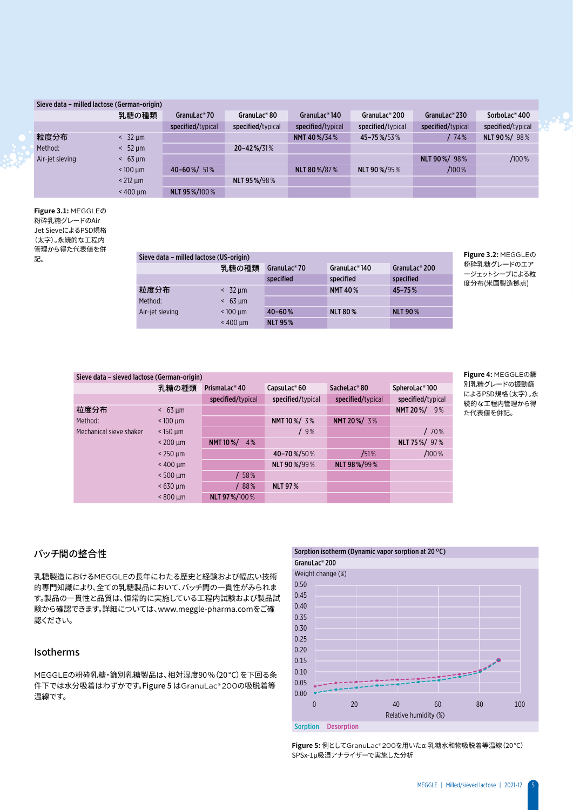#### Sieve data – milled lactose (German-origin)

|                 | 乳糖の種類             | GranuLac <sup>®</sup> 70 | GranuLac®80       | GranuLac®140      | GranuLac® 200     | GranuLac <sup>®</sup> 230 | SorboLac <sup>®</sup> 400 |
|-----------------|-------------------|--------------------------|-------------------|-------------------|-------------------|---------------------------|---------------------------|
|                 |                   | specified/typical        | specified/typical | specified/typical | specified/typical | specified/typical         | specified/typical         |
| 粒度分布            | $<$ 32 $\mu$ m    |                          |                   | NMT 40%/34%       | 45-75%/53%        | 74%                       | NLT 90%/98%               |
| Method:         | $<$ 52 $\mu$ m    |                          | 20-42%/31%        |                   |                   |                           |                           |
| Air-jet sieving | $& 63 \text{ µm}$ |                          |                   |                   |                   | NLT 90 %/ 98%             | /100%                     |
|                 | $< 100$ um        | 40-60%/ 51%              |                   | NLT 80 %/87 %     | NLT 90%/95%       | $/100\%$                  |                           |
|                 | $<$ 212 $\mu$ m   |                          | NLT 95 %/98 %     |                   |                   |                           |                           |
|                 | $< 400$ um        | NLT 95%/100%             |                   |                   |                   |                           |                           |

**Figure 3.1:** MEGGLEの 粉砕乳糖グレードのAir Jet SieveによるPSD規格 (太字)。永続的な工程内 管理から得た代表値を併<br>記。

| 日生か フはたい状態であ<br>記。 | Sieve data - milled lactose (US-origin) |                   |                          |                             |                           | Figure 3.2: MEGGLEO         |
|--------------------|-----------------------------------------|-------------------|--------------------------|-----------------------------|---------------------------|-----------------------------|
|                    |                                         | 乳糖の種類             | GranuLac <sup>®</sup> 70 | GranuLac <sup>®</sup> $140$ | GranuLac <sup>®</sup> 200 | 粉砕乳糖グレードのエア<br>ージェットシーブによる粒 |
|                    |                                         |                   | specified                | specified                   | specified                 | 度分布(米国製造拠点)                 |
|                    | 粒度分布                                    | $< 32 \text{ nm}$ |                          | <b>NMT 40%</b>              | $45 - 75%$                |                             |
|                    | Method:                                 | $& 63$ um         |                          |                             |                           |                             |
|                    | Air-jet sieving                         | $< 100$ um        | $40 - 60%$               | <b>NLT 80%</b>              | <b>NLT 90%</b>            |                             |
|                    |                                         | $< 400$ um        | <b>NLT 95%</b>           |                             |                           |                             |

| Sieve data - sieved lactose (German-origin) |                       |                           |                          |                   |                   |
|---------------------------------------------|-----------------------|---------------------------|--------------------------|-------------------|-------------------|
|                                             | 乳糖の種類                 | PrismaLac <sup>®</sup> 40 | CapsuLac <sup>®</sup> 60 | SacheLac®80       | SpheroLac®100     |
|                                             |                       | specified/typical         | specified/typical        | specified/typical | specified/typical |
| 粒度分布                                        | $63 \mu m$<br>$\prec$ |                           |                          |                   | NMT 20%/<br>9%    |
| Method:                                     | $< 100 \mu m$         |                           | NMT 10 %/ 3%             | NMT 20%/3%        |                   |
| Mechanical sieve shaker                     | $<$ 150 $\mu$ m       |                           | /9%                      |                   | /70%              |
|                                             | $< 200$ um            | <b>NMT10%/</b><br>4%      |                          |                   | NLT 75%/ 97%      |
|                                             | $<$ 250 $\mu$ m       |                           | 40-70%/50%               | /51%              | $/100\%$          |
|                                             | $< 400 \mu m$         |                           | NLT 90%/99%              | NLT 98%/99%       |                   |
|                                             | $< 500$ um            | / 58%                     |                          |                   |                   |
|                                             | $< 630$ um            | 88%                       | <b>NLT 97%</b>           |                   |                   |
|                                             | $< 800 \mu m$         | NLT 97%/100%              |                          |                   |                   |

**Figure 4:** MEGGLEの篩 別乳糖グレードの振動篩 によるPSD規格(太字)。永 続的な工程内管理から得 た代表値を併記。

#### バッチ間の整合性

乳糖製造におけるMEGGLEの長年にわたる歴史と経験および幅広い技術 的専門知識により、全ての乳糖製品において、バッチ間の一貫性がみられま す。製品の一貫性と品質は、恒常的に実施している工程内試験および製品試 験から確認できます。詳細については、www.meggle-pharma.comをご確 認ください。

#### Isotherms

MEGGLEの粉砕乳糖・篩別乳糖製品は、相対湿度90%(20°C)を下回る条 件下では水分吸着はわずかです。Figure 5 はGranuLac® 200の吸脱着等 温線です。



**Figure 5:** 例としてGranuLac® 200を用いたα-乳糖水和物吸脱着等温線(20℃) SPSx-1µ吸湿アナライザーで実施した分析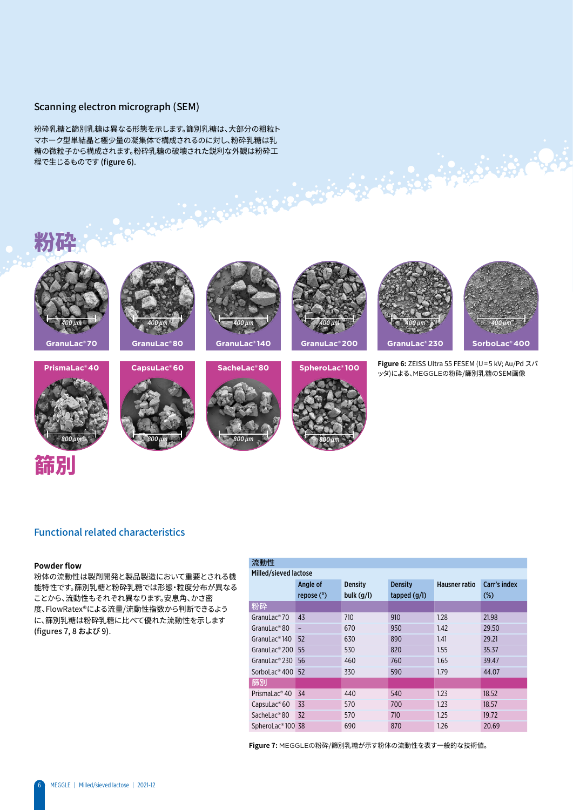#### Scanning electron micrograph (SEM)

粉砕乳糖と篩別乳糖は異なる形態を示します。篩別乳糖は、大部分の粗粒ト マホーク型単結晶と極少量の凝集体で構成されるのに対し、粉砕乳糖は乳 糖の微粒子から構成されます。粉砕乳糖の破壊された鋭利な外観は粉砕工 程で生じるものです (figure 6).

## **Figure 6:** ZEISS Ultra 55 FESEM (U=5 kV; Au/Pd スパ 。<br>ッタ)による、MEGGLEの粉砕/篩別乳糖のSEM画像 粉砕 篩別 **GranuLac® 80 GranuLac® 70 GranuLac® 140 GranuLac® 200 GranuLac® 230 SorboLac® 400 PrismaLac® 40 CapsuLac® 60 SacheLac® 80 SpheroLac® 100** *800 µm 800 µm 800 µm 800 µm 400 µm 400 µm 400 µm 400 µm 400 µm 400 µm*

#### Functional related characteristics

#### **Powder flow**

粉体の流動性は製剤開発と製品製造において重要とされる機 能特性です。篩別乳糖と粉砕乳糖では形態・粒度分布が異なる ことから、流動性もそれぞれ異なります。安息角、かさ密 度、FlowRatex®による流量/流動性指数から判断できるよう に、篩別乳糖は粉砕乳糖に比べて優れた流動性を示します (figures 7, 8 および 9).

#### 光电性

| かいキケーエ                        |              |                |                |                      |              |
|-------------------------------|--------------|----------------|----------------|----------------------|--------------|
| Milled/sieved lactose         |              |                |                |                      |              |
|                               | Angle of     | <b>Density</b> | <b>Density</b> | <b>Hausner ratio</b> | Carr's index |
|                               | repose $(°)$ | bulk $(g/l)$   | tapped $(g/I)$ |                      | $(\%)$       |
| 粉砕                            |              |                |                |                      |              |
| GranuLac <sup>®</sup> 70      | 43           | 710            | 910            | 1.28                 | 21.98        |
| GranuLac <sup>®</sup> 80      | -            | 670            | 950            | 1.42                 | 29.50        |
| GranuLac <sup>®</sup> $140$   | 52           | 630            | 890            | 1.41                 | 29.21        |
| GranuLac <sup>®</sup> 200     | 55           | 530            | 820            | 1.55                 | 35.37        |
| GranuLac <sup>®</sup> 230     | 56           | 460            | 760            | 1.65                 | 39.47        |
| SorboLac <sup>®</sup> 400     | 52           | 330            | 590            | 1.79                 | 44.07        |
| 篩別                            |              |                |                |                      |              |
| PrismaLac <sup>®</sup> 40     | 34           | 440            | 540            | 1.23                 | 18.52        |
| CapsuLac <sup>®</sup> 60      | 33           | 570            | 700            | 1.23                 | 18.57        |
| SacheLac®80                   | 32           | 570            | 710            | 1.25                 | 19.72        |
| SpheroLac <sup>®</sup> 100 38 |              | 690            | 870            | 1.26                 | 20.69        |

**Figure 7:** MEGGLEの粉砕/篩別乳糖が示す粉体の流動性を表す一般的な技術値。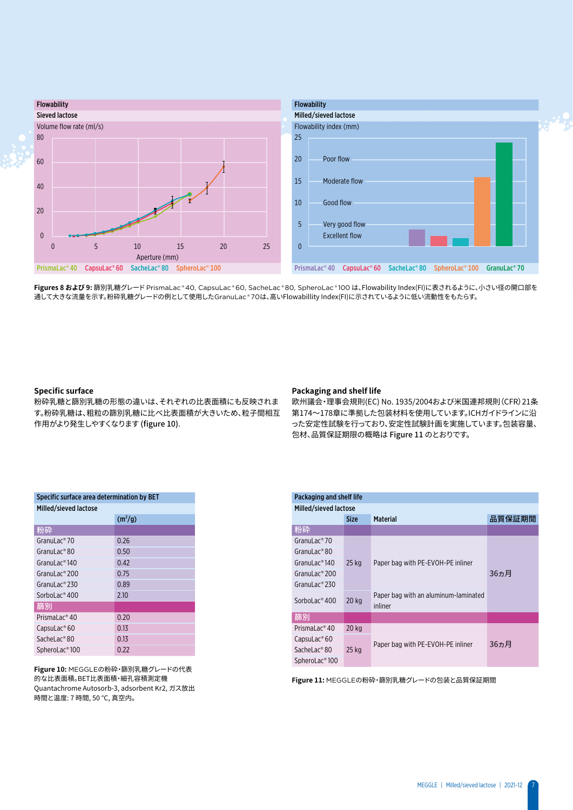

**Figures 8 および 9:** 篩別乳糖グレード PrismaLac ® 40, CapsuLac ® 60, SacheLac ® 80, SpheroLac ® 100 は、Flowability Index(FI)に表されるように、小さい径の開口部を 通して大きな流量を示す。粉砕乳糖グレードの例として使用したGranuLac ® 70は、高いFlowabillity Index(FI)に示されているように低い流動性をもたらす。

#### **Specific surface**

粉砕乳糖と篩別乳糖の形態の違いは、それぞれの比表面積にも反映されま す。粉砕乳糖は、粗粒の篩別乳糖に比べ比表面積が大きいため、粒子間相互 作用がより発生しやすくなります (figure 10).

#### **Packaging and shelf life**

欧州議会・理事会規則(EC) No. 1935/2004および米国連邦規則(CFR)21条 第174~178章に準拠した包装材料を使用しています。ICHガイドラインに沿 った安定性試験を行っており、安定性試験計画を実施しています。包装容量、 包材、品質保証期限の概略は Figure 11 のとおりです。

| Specific surface area determination by BET |                     |  |  |  |  |  |
|--------------------------------------------|---------------------|--|--|--|--|--|
| Milled/sieved lactose                      |                     |  |  |  |  |  |
|                                            | (m <sup>2</sup> /g) |  |  |  |  |  |
| 粉砕                                         |                     |  |  |  |  |  |
| Granul ac <sup>®</sup> 70                  | 0.26                |  |  |  |  |  |
| GranuLac® 80                               | 0.50                |  |  |  |  |  |
| Granul ac®140                              | 0.42                |  |  |  |  |  |
| GranuLac® 200                              | 0.75                |  |  |  |  |  |
| Granul ac® 230                             | 0.89                |  |  |  |  |  |
| SorboLac <sup>®</sup> 400                  | 2.10                |  |  |  |  |  |
| 篩別                                         |                     |  |  |  |  |  |
| PrismaLac <sup>®</sup> 40                  | 0.20                |  |  |  |  |  |
| CapsuLac® 60                               | 0.13                |  |  |  |  |  |
| SacheLac®80                                | 0.13                |  |  |  |  |  |
| SpheroLac <sup>®</sup> 100                 | 0.22                |  |  |  |  |  |

**Figure 10:** MEGGLEの粉砕・篩別乳糖グレードの代表 的な比表面積。BET比表面積・細孔容積測定機 Quantachrome Autosorb-3, adsorbent Kr2, ガス放出 時間と温度: 7 時間, 50 °C, 真空内。

| Packaging and shelf life       |             |                                                 |        |
|--------------------------------|-------------|-------------------------------------------------|--------|
| Milled/sieved lactose          |             |                                                 |        |
|                                | <b>Size</b> | <b>Material</b>                                 | 品質保証期間 |
| 粉砕                             |             |                                                 |        |
| GranuLac <sup>®</sup> 70       |             |                                                 |        |
| GranuLac <sup>®</sup> 80       |             |                                                 |        |
| GranuLac <sup>®</sup> $140$    | $25$ kg     | Paper bag with PE-EVOH-PE inliner               |        |
| GranuLac <sup>®</sup> 200      |             |                                                 | 36ヵ月   |
| GranuLac <sup>®</sup> 230      |             |                                                 |        |
| SorboLac <sup>®</sup> 400      | 20 kg       | Paper bag with an aluminum-laminated<br>inliner |        |
| 篩別                             |             |                                                 |        |
| Prismal $ac$ <sup>®</sup> 40   | $20$ kg     |                                                 |        |
| $C$ apsu $Lac$ <sup>®</sup> 60 |             | Paper bag with PE-EVOH-PE inliner               | 36ヵ月   |
| SacheLac <sup>®</sup> 80       | 25 kg       |                                                 |        |
| SpheroLac <sup>®</sup> 100     |             |                                                 |        |

**Figure 11:** MEGGLEの粉砕・篩別乳糖グレードの包装と品質保証期間

7